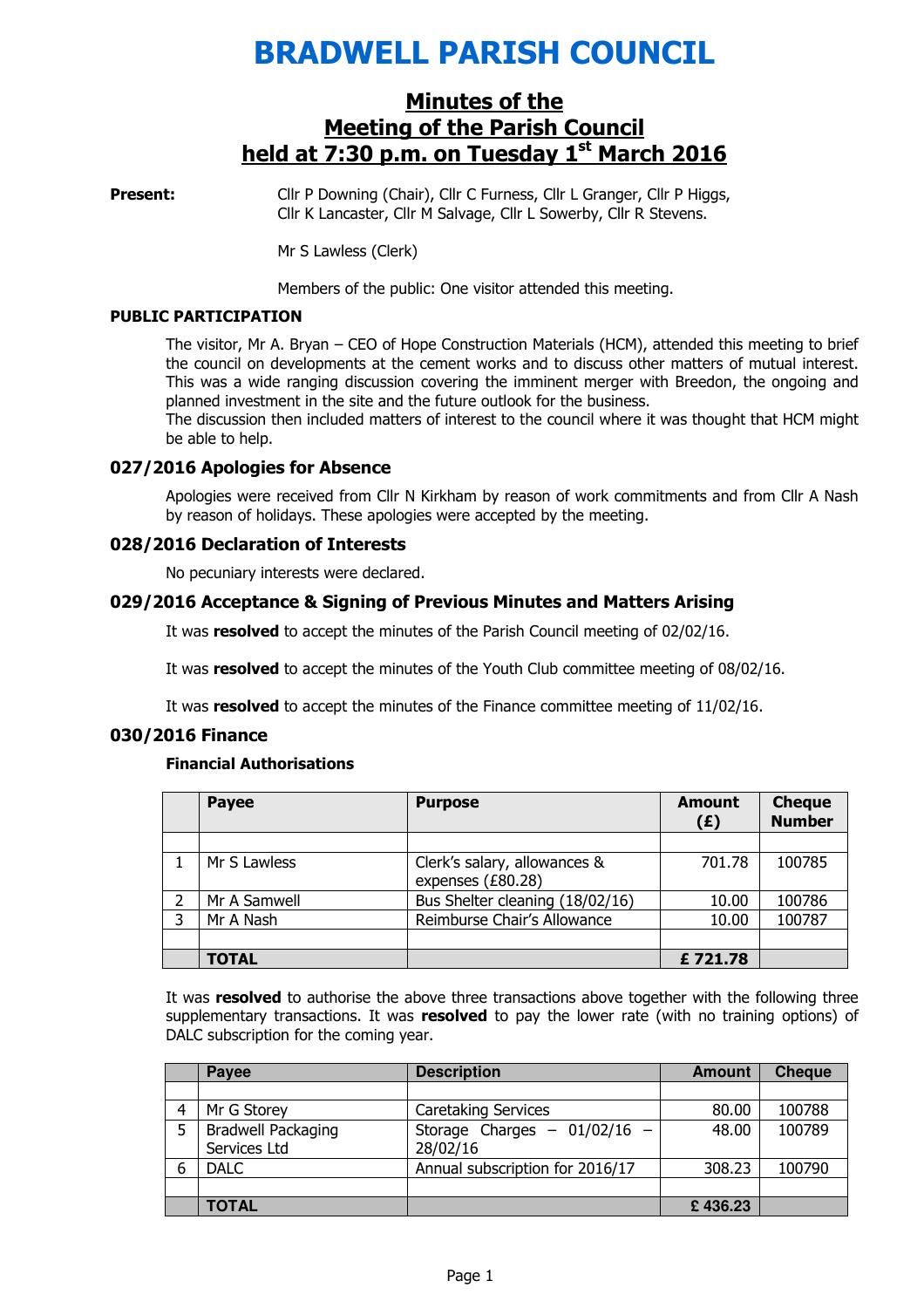# BRADWELL PARISH COUNCIL

## Minutes of the Meeting of the Parish Council held at  $7:30$  p.m. on Tuesday  $1<sup>st</sup>$  March 2016

**Present:** Cllr P Downing (Chair), Cllr C Furness, Cllr L Granger, Cllr P Higgs, Cllr K Lancaster, Cllr M Salvage, Cllr L Sowerby, Cllr R Stevens.

Mr S Lawless (Clerk)

Members of the public: One visitor attended this meeting.

#### PUBLIC PARTICIPATION

The visitor, Mr A. Bryan – CEO of Hope Construction Materials (HCM), attended this meeting to brief the council on developments at the cement works and to discuss other matters of mutual interest. This was a wide ranging discussion covering the imminent merger with Breedon, the ongoing and planned investment in the site and the future outlook for the business.

The discussion then included matters of interest to the council where it was thought that HCM might be able to help.

## 027/2016 Apologies for Absence

 Apologies were received from Cllr N Kirkham by reason of work commitments and from Cllr A Nash by reason of holidays. These apologies were accepted by the meeting.

#### 028/2016 Declaration of Interests

No pecuniary interests were declared.

#### 029/2016 Acceptance & Signing of Previous Minutes and Matters Arising

It was resolved to accept the minutes of the Parish Council meeting of 02/02/16.

It was resolved to accept the minutes of the Youth Club committee meeting of 08/02/16.

It was **resolved** to accept the minutes of the Finance committee meeting of 11/02/16.

#### 030/2016 Finance

#### Financial Authorisations

|   | <b>Payee</b> | <b>Purpose</b>                                    | <b>Amount</b><br>(E) | <b>Cheque</b><br><b>Number</b> |
|---|--------------|---------------------------------------------------|----------------------|--------------------------------|
|   |              |                                                   |                      |                                |
|   | Mr S Lawless | Clerk's salary, allowances &<br>expenses (£80.28) | 701.78               | 100785                         |
|   | Mr A Samwell | Bus Shelter cleaning (18/02/16)                   | 10.00                | 100786                         |
| 3 | Mr A Nash    | Reimburse Chair's Allowance                       | 10.00                | 100787                         |
|   |              |                                                   |                      |                                |
|   | <b>TOTAL</b> |                                                   | £721.78              |                                |

It was resolved to authorise the above three transactions above together with the following three supplementary transactions. It was resolved to pay the lower rate (with no training options) of DALC subscription for the coming year.

|   | Payee                                     | <b>Description</b>                           | <b>Amount</b> | <b>Cheque</b> |
|---|-------------------------------------------|----------------------------------------------|---------------|---------------|
|   |                                           |                                              |               |               |
|   | Mr G Storey                               | Caretaking Services                          | 80.00         | 100788        |
| 5 | <b>Bradwell Packaging</b><br>Services Ltd | Storage Charges $-$ 01/02/16 $-$<br>28/02/16 | 48.00         | 100789        |
|   | <b>DALC</b>                               | Annual subscription for 2016/17              | 308.23        | 100790        |
|   |                                           |                                              |               |               |
|   | <b>TOTAL</b>                              |                                              | £436.23       |               |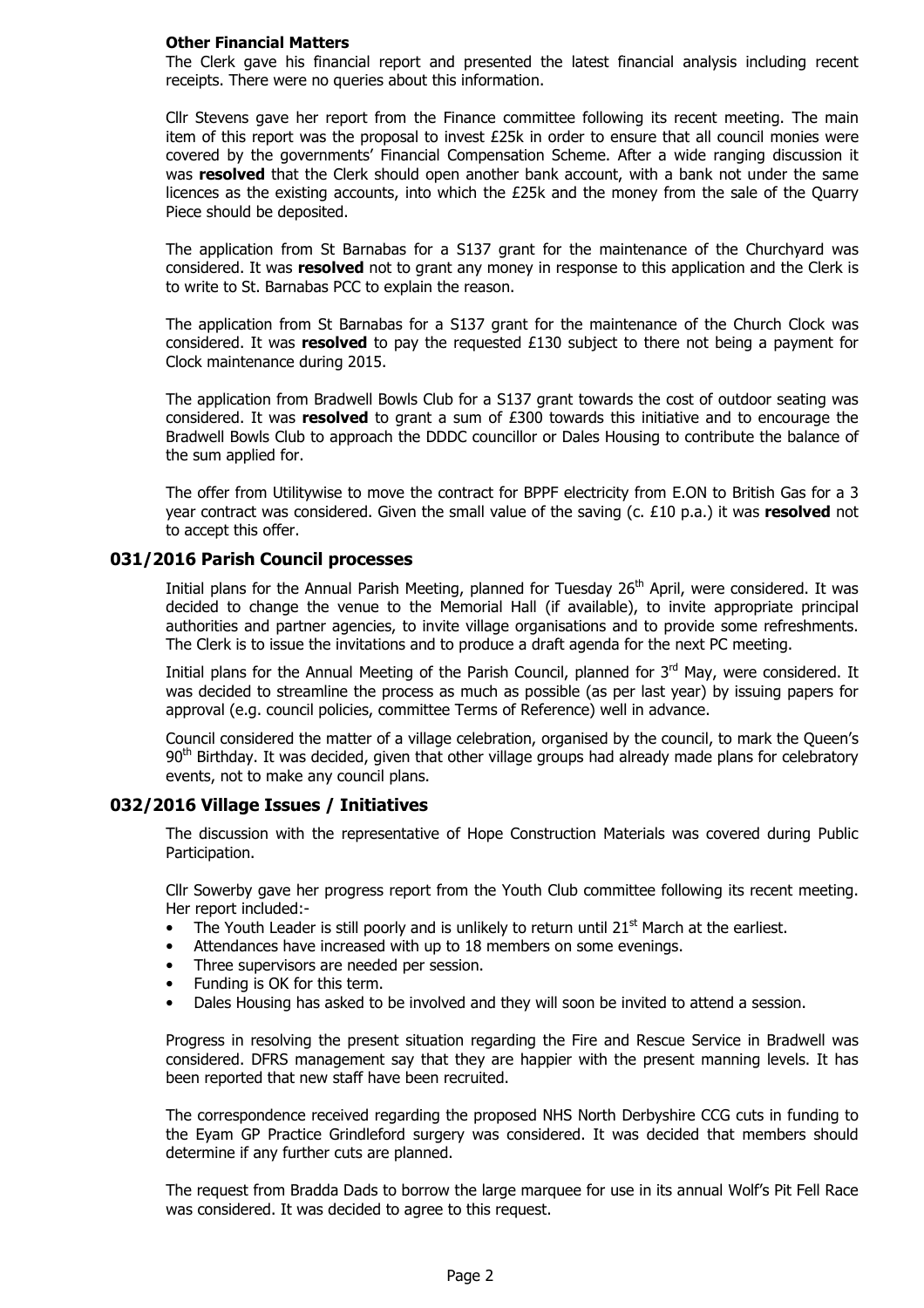#### Other Financial Matters

The Clerk gave his financial report and presented the latest financial analysis including recent receipts. There were no queries about this information.

Cllr Stevens gave her report from the Finance committee following its recent meeting. The main item of this report was the proposal to invest £25k in order to ensure that all council monies were covered by the governments' Financial Compensation Scheme. After a wide ranging discussion it was **resolved** that the Clerk should open another bank account, with a bank not under the same licences as the existing accounts, into which the £25k and the money from the sale of the Quarry Piece should be deposited.

The application from St Barnabas for a S137 grant for the maintenance of the Churchyard was considered. It was **resolved** not to grant any money in response to this application and the Clerk is to write to St. Barnabas PCC to explain the reason.

The application from St Barnabas for a S137 grant for the maintenance of the Church Clock was considered. It was resolved to pay the requested  $£130$  subject to there not being a payment for Clock maintenance during 2015.

The application from Bradwell Bowls Club for a S137 grant towards the cost of outdoor seating was considered. It was **resolved** to grant a sum of  $E300$  towards this initiative and to encourage the Bradwell Bowls Club to approach the DDDC councillor or Dales Housing to contribute the balance of the sum applied for.

The offer from Utilitywise to move the contract for BPPF electricity from E.ON to British Gas for a 3 year contract was considered. Given the small value of the saving  $(c. £10 p.a.)$  it was resolved not to accept this offer.

#### 031/2016 Parish Council processes

Initial plans for the Annual Parish Meeting, planned for Tuesday 26<sup>th</sup> April, were considered. It was decided to change the venue to the Memorial Hall (if available), to invite appropriate principal authorities and partner agencies, to invite village organisations and to provide some refreshments. The Clerk is to issue the invitations and to produce a draft agenda for the next PC meeting.

Initial plans for the Annual Meeting of the Parish Council, planned for 3<sup>rd</sup> May, were considered. It was decided to streamline the process as much as possible (as per last year) by issuing papers for approval (e.g. council policies, committee Terms of Reference) well in advance.

Council considered the matter of a village celebration, organised by the council, to mark the Queen's 90<sup>th</sup> Birthday. It was decided, given that other village groups had already made plans for celebratory events, not to make any council plans.

## 032/2016 Village Issues / Initiatives

The discussion with the representative of Hope Construction Materials was covered during Public Participation.

Cllr Sowerby gave her progress report from the Youth Club committee following its recent meeting. Her report included:-

- The Youth Leader is still poorly and is unlikely to return until  $21<sup>st</sup>$  March at the earliest.
- Attendances have increased with up to 18 members on some evenings.
- Three supervisors are needed per session.
- Funding is OK for this term.
- Dales Housing has asked to be involved and they will soon be invited to attend a session.

Progress in resolving the present situation regarding the Fire and Rescue Service in Bradwell was considered. DFRS management say that they are happier with the present manning levels. It has been reported that new staff have been recruited.

The correspondence received regarding the proposed NHS North Derbyshire CCG cuts in funding to the Eyam GP Practice Grindleford surgery was considered. It was decided that members should determine if any further cuts are planned.

The request from Bradda Dads to borrow the large marquee for use in its annual Wolf's Pit Fell Race was considered. It was decided to agree to this request.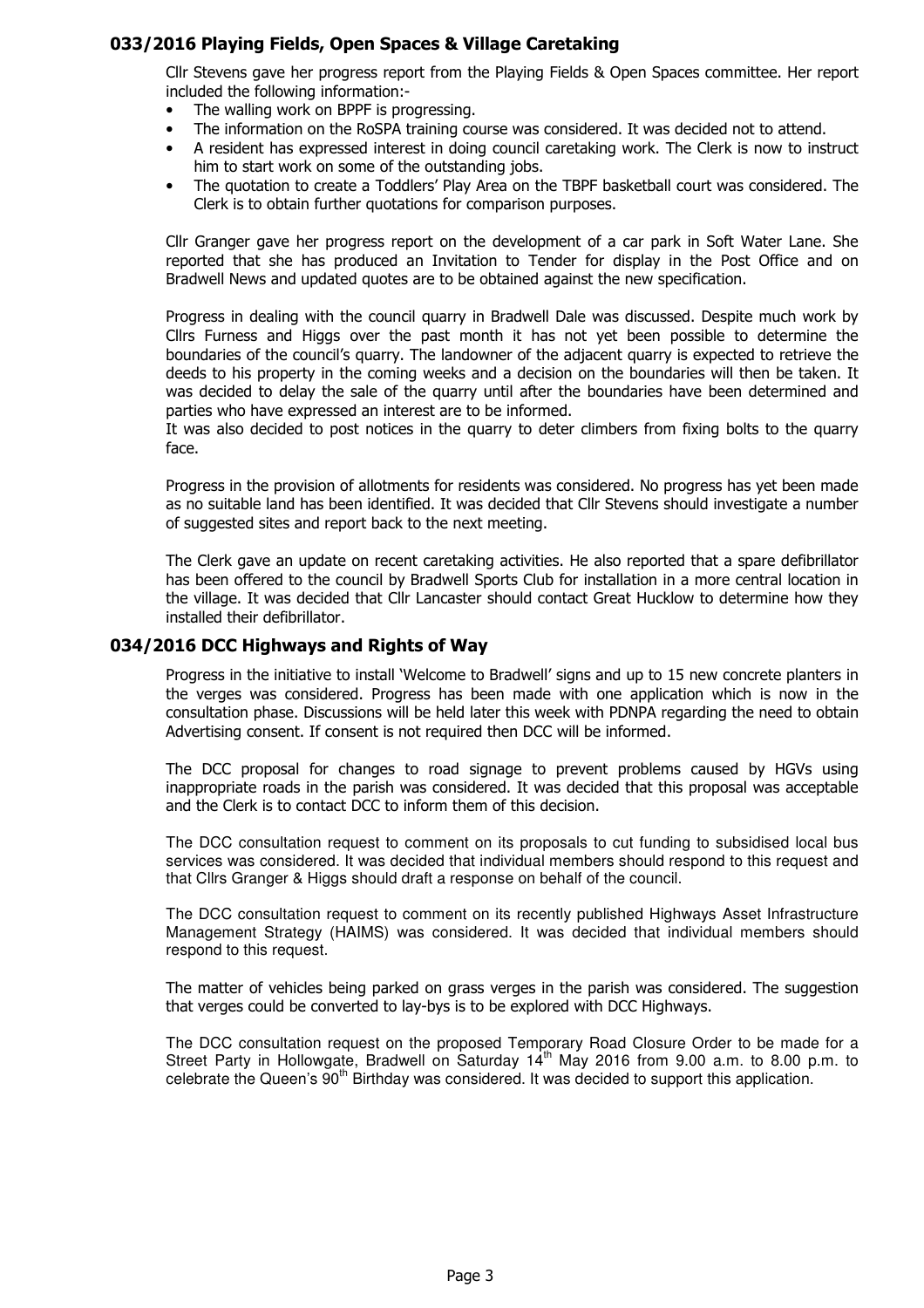## 033/2016 Playing Fields, Open Spaces & Village Caretaking

Cllr Stevens gave her progress report from the Playing Fields & Open Spaces committee. Her report included the following information:-

- The walling work on BPPF is progressing.
- The information on the RoSPA training course was considered. It was decided not to attend.
- A resident has expressed interest in doing council caretaking work. The Clerk is now to instruct him to start work on some of the outstanding jobs.
- The quotation to create a Toddlers' Play Area on the TBPF basketball court was considered. The Clerk is to obtain further quotations for comparison purposes.

Cllr Granger gave her progress report on the development of a car park in Soft Water Lane. She reported that she has produced an Invitation to Tender for display in the Post Office and on Bradwell News and updated quotes are to be obtained against the new specification.

Progress in dealing with the council quarry in Bradwell Dale was discussed. Despite much work by Cllrs Furness and Higgs over the past month it has not yet been possible to determine the boundaries of the council's quarry. The landowner of the adjacent quarry is expected to retrieve the deeds to his property in the coming weeks and a decision on the boundaries will then be taken. It was decided to delay the sale of the quarry until after the boundaries have been determined and parties who have expressed an interest are to be informed.

It was also decided to post notices in the quarry to deter climbers from fixing bolts to the quarry face.

Progress in the provision of allotments for residents was considered. No progress has yet been made as no suitable land has been identified. It was decided that Cllr Stevens should investigate a number of suggested sites and report back to the next meeting.

The Clerk gave an update on recent caretaking activities. He also reported that a spare defibrillator has been offered to the council by Bradwell Sports Club for installation in a more central location in the village. It was decided that Cllr Lancaster should contact Great Hucklow to determine how they installed their defibrillator.

## 034/2016 DCC Highways and Rights of Way

Progress in the initiative to install 'Welcome to Bradwell' signs and up to 15 new concrete planters in the verges was considered. Progress has been made with one application which is now in the consultation phase. Discussions will be held later this week with PDNPA regarding the need to obtain Advertising consent. If consent is not required then DCC will be informed.

The DCC proposal for changes to road signage to prevent problems caused by HGVs using inappropriate roads in the parish was considered. It was decided that this proposal was acceptable and the Clerk is to contact DCC to inform them of this decision.

The DCC consultation request to comment on its proposals to cut funding to subsidised local bus services was considered. It was decided that individual members should respond to this request and that Cllrs Granger & Higgs should draft a response on behalf of the council.

The DCC consultation request to comment on its recently published Highways Asset Infrastructure Management Strategy (HAIMS) was considered. It was decided that individual members should respond to this request.

The matter of vehicles being parked on grass verges in the parish was considered. The suggestion that verges could be converted to lay-bys is to be explored with DCC Highways.

The DCC consultation request on the proposed Temporary Road Closure Order to be made for a Street Party in Hollowgate, Bradwell on Saturday  $14<sup>th</sup>$  May 2016 from 9.00 a.m. to 8.00 p.m. to celebrate the Queen's  $90<sup>th</sup>$  Birthday was considered. It was decided to support this application.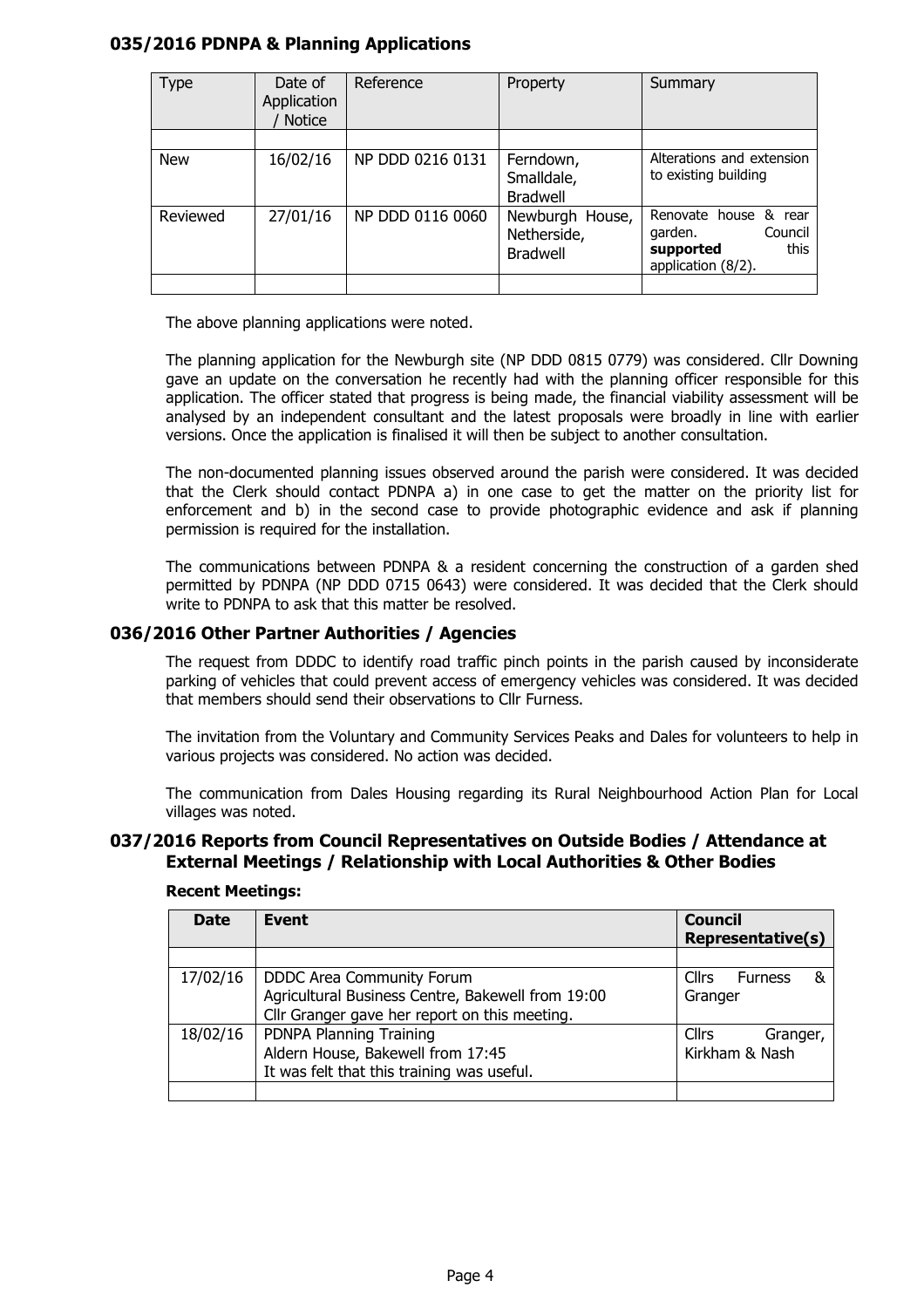## 035/2016 PDNPA & Planning Applications

| Type       | Date of<br>Application<br>Notice | Reference        | Property                                          | Summary                                                                                |  |
|------------|----------------------------------|------------------|---------------------------------------------------|----------------------------------------------------------------------------------------|--|
| <b>New</b> | 16/02/16                         | NP DDD 0216 0131 | Ferndown,<br>Smalldale,<br><b>Bradwell</b>        | Alterations and extension<br>to existing building                                      |  |
| Reviewed   | 27/01/16                         | NP DDD 0116 0060 | Newburgh House,<br>Netherside,<br><b>Bradwell</b> | Renovate house & rear<br>Council<br>garden.<br>this<br>supported<br>application (8/2). |  |

The above planning applications were noted.

The planning application for the Newburgh site (NP DDD 0815 0779) was considered. Cllr Downing gave an update on the conversation he recently had with the planning officer responsible for this application. The officer stated that progress is being made, the financial viability assessment will be analysed by an independent consultant and the latest proposals were broadly in line with earlier versions. Once the application is finalised it will then be subject to another consultation.

The non-documented planning issues observed around the parish were considered. It was decided that the Clerk should contact PDNPA a) in one case to get the matter on the priority list for enforcement and b) in the second case to provide photographic evidence and ask if planning permission is required for the installation.

The communications between PDNPA & a resident concerning the construction of a garden shed permitted by PDNPA (NP DDD 0715 0643) were considered. It was decided that the Clerk should write to PDNPA to ask that this matter be resolved.

## 036/2016 Other Partner Authorities / Agencies

The request from DDDC to identify road traffic pinch points in the parish caused by inconsiderate parking of vehicles that could prevent access of emergency vehicles was considered. It was decided that members should send their observations to Cllr Furness.

The invitation from the Voluntary and Community Services Peaks and Dales for volunteers to help in various projects was considered. No action was decided.

The communication from Dales Housing regarding its Rural Neighbourhood Action Plan for Local villages was noted.

#### 037/2016 Reports from Council Representatives on Outside Bodies / Attendance at External Meetings / Relationship with Local Authorities & Other Bodies

| <b>Date</b> | <b>Event</b>                                      | <b>Council</b>                      |  |
|-------------|---------------------------------------------------|-------------------------------------|--|
|             |                                                   | <b>Representative(s)</b>            |  |
|             |                                                   |                                     |  |
| 17/02/16    | DDDC Area Community Forum                         | <b>Cllrs</b><br>&<br><b>Furness</b> |  |
|             | Agricultural Business Centre, Bakewell from 19:00 | Granger                             |  |
|             | Cllr Granger gave her report on this meeting.     |                                     |  |
| 18/02/16    | PDNPA Planning Training                           | Cllrs<br>Granger,                   |  |
|             | Aldern House, Bakewell from 17:45                 | Kirkham & Nash                      |  |
|             | It was felt that this training was useful.        |                                     |  |
|             |                                                   |                                     |  |

#### Recent Meetings: